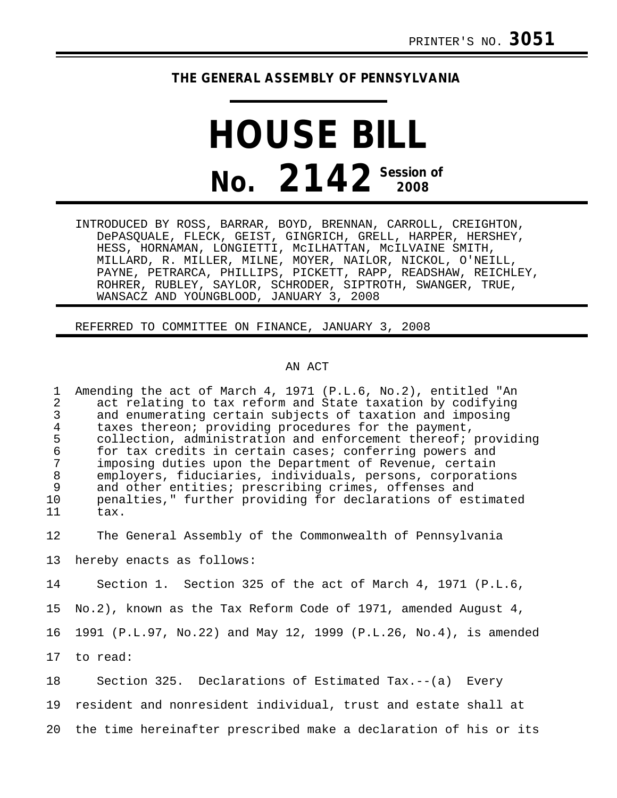## **THE GENERAL ASSEMBLY OF PENNSYLVANIA**

## **HOUSE BILL No. 2142 Session of**

INTRODUCED BY ROSS, BARRAR, BOYD, BRENNAN, CARROLL, CREIGHTON, DePASQUALE, FLECK, GEIST, GINGRICH, GRELL, HARPER, HERSHEY, HESS, HORNAMAN, LONGIETTI, McILHATTAN, McILVAINE SMITH, MILLARD, R. MILLER, MILNE, MOYER, NAILOR, NICKOL, O'NEILL, PAYNE, PETRARCA, PHILLIPS, PICKETT, RAPP, READSHAW, REICHLEY, ROHRER, RUBLEY, SAYLOR, SCHRODER, SIPTROTH, SWANGER, TRUE, WANSACZ AND YOUNGBLOOD, JANUARY 3, 2008

REFERRED TO COMMITTEE ON FINANCE, JANUARY 3, 2008

## AN ACT

1 Amending the act of March 4, 1971 (P.L.6, No.2), entitled "An 2 act relating to tax reform and State taxation by codifying<br>3 and enumerating certain subjects of taxation and imposing 3 and enumerating certain subjects of taxation and imposing<br>4 taxes thereon; providing procedures for the payment. 4 taxes thereon; providing procedures for the payment,<br>5 collection, administration and enforcement thereof; 5 collection, administration and enforcement thereof; providing<br>6 for tax credits in certain cases; conferring powers and 6 for tax credits in certain cases; conferring powers and 7 imposing duties upon the Department of Revenue, certain 8 employers, fiduciaries, individuals, persons, corporations<br>9 and other entities; prescribing crimes, offenses and and other entities; prescribing crimes, offenses and 10 penalties," further providing for declarations of estimated tax.

12 The General Assembly of the Commonwealth of Pennsylvania

13 hereby enacts as follows:

14 Section 1. Section 325 of the act of March 4, 1971 (P.L.6,

15 No.2), known as the Tax Reform Code of 1971, amended August 4,

16 1991 (P.L.97, No.22) and May 12, 1999 (P.L.26, No.4), is amended

17 to read:

18 Section 325. Declarations of Estimated Tax.--(a) Every 19 resident and nonresident individual, trust and estate shall at 20 the time hereinafter prescribed make a declaration of his or its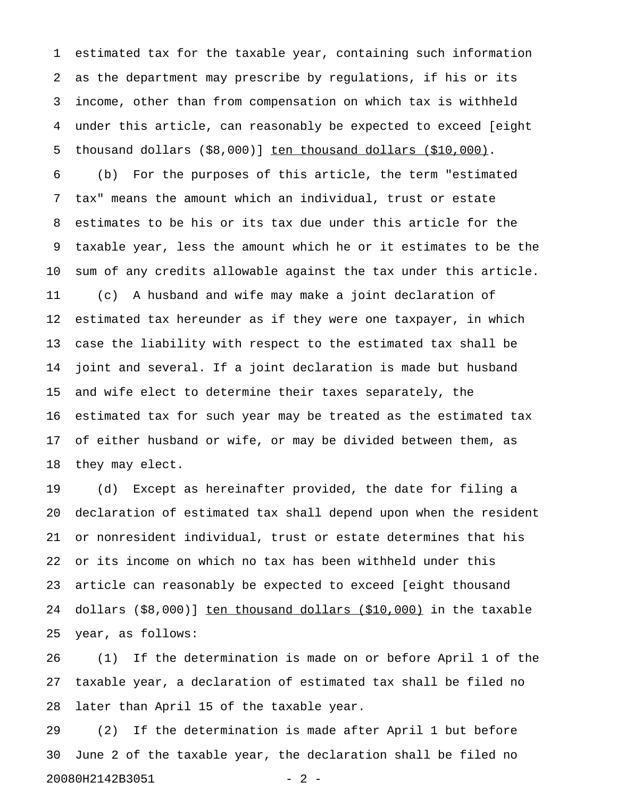1 estimated tax for the taxable year, containing such information 2 as the department may prescribe by regulations, if his or its 3 income, other than from compensation on which tax is withheld 4 under this article, can reasonably be expected to exceed [eight 5 thousand dollars  $( $8,000) ]$  ten thousand dollars  $( $10,000)$ .

6 (b) For the purposes of this article, the term "estimated 7 tax" means the amount which an individual, trust or estate 8 estimates to be his or its tax due under this article for the 9 taxable year, less the amount which he or it estimates to be the 10 sum of any credits allowable against the tax under this article. 11 (c) A husband and wife may make a joint declaration of 12 estimated tax hereunder as if they were one taxpayer, in which 13 case the liability with respect to the estimated tax shall be 14 joint and several. If a joint declaration is made but husband 15 and wife elect to determine their taxes separately, the 16 estimated tax for such year may be treated as the estimated tax 17 of either husband or wife, or may be divided between them, as 18 they may elect.

19 (d) Except as hereinafter provided, the date for filing a 20 declaration of estimated tax shall depend upon when the resident 21 or nonresident individual, trust or estate determines that his 22 or its income on which no tax has been withheld under this 23 article can reasonably be expected to exceed [eight thousand 24 dollars  $(\$8,000)$ ] ten thousand dollars  $(\$10,000)$  in the taxable 25 year, as follows:

26 (1) If the determination is made on or before April 1 of the 27 taxable year, a declaration of estimated tax shall be filed no 28 later than April 15 of the taxable year.

29 (2) If the determination is made after April 1 but before 30 June 2 of the taxable year, the declaration shall be filed no 20080H2142B3051 - 2 -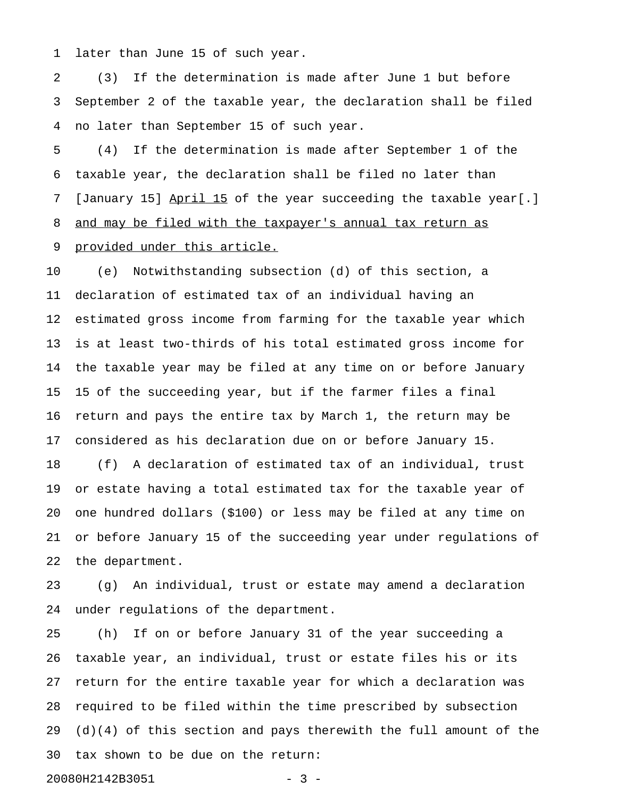1 later than June 15 of such year.

2 (3) If the determination is made after June 1 but before 3 September 2 of the taxable year, the declaration shall be filed 4 no later than September 15 of such year.

5 (4) If the determination is made after September 1 of the 6 taxable year, the declaration shall be filed no later than 7 [January 15] April 15 of the year succeeding the taxable year[.] 8 and may be filed with the taxpayer's annual tax return as 9 provided under this article.

10 (e) Notwithstanding subsection (d) of this section, a 11 declaration of estimated tax of an individual having an 12 estimated gross income from farming for the taxable year which 13 is at least two-thirds of his total estimated gross income for 14 the taxable year may be filed at any time on or before January 15 15 of the succeeding year, but if the farmer files a final 16 return and pays the entire tax by March 1, the return may be 17 considered as his declaration due on or before January 15.

18 (f) A declaration of estimated tax of an individual, trust 19 or estate having a total estimated tax for the taxable year of 20 one hundred dollars (\$100) or less may be filed at any time on 21 or before January 15 of the succeeding year under regulations of 22 the department.

23 (g) An individual, trust or estate may amend a declaration 24 under regulations of the department.

25 (h) If on or before January 31 of the year succeeding a 26 taxable year, an individual, trust or estate files his or its 27 return for the entire taxable year for which a declaration was 28 required to be filed within the time prescribed by subsection  $29$  (d)(4) of this section and pays therewith the full amount of the 30 tax shown to be due on the return: 20080H2142B3051 - 3 -